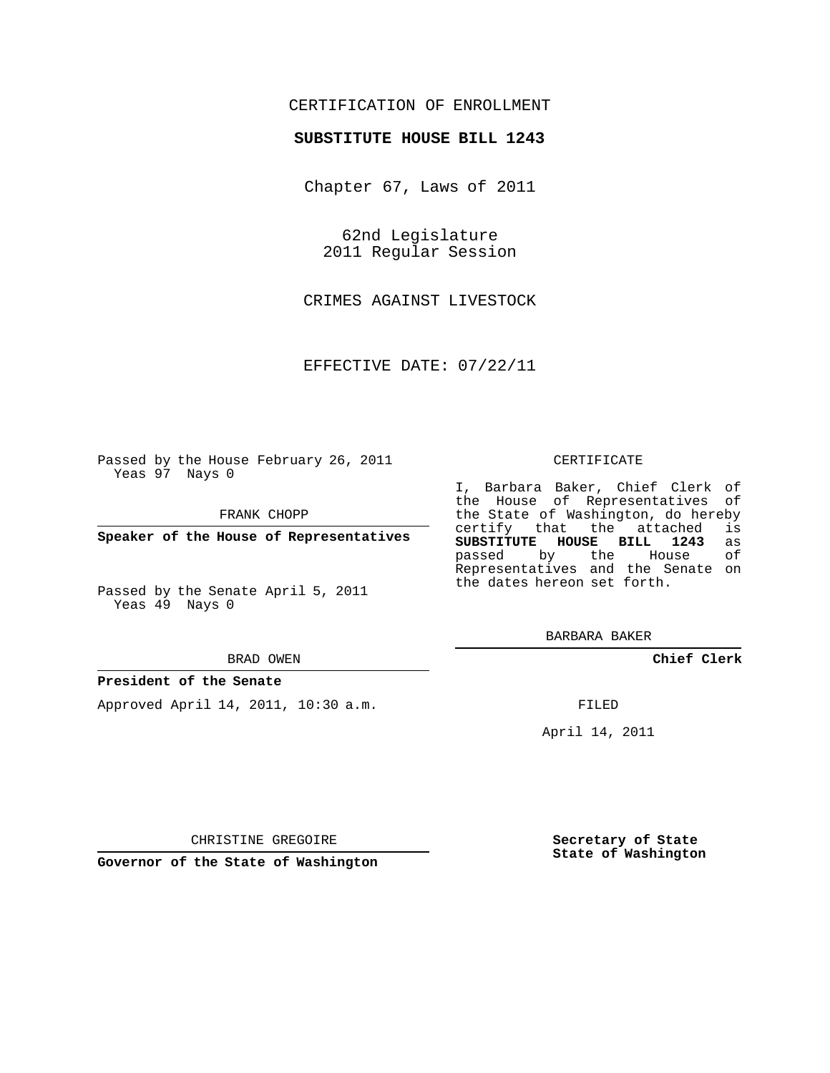## CERTIFICATION OF ENROLLMENT

## **SUBSTITUTE HOUSE BILL 1243**

Chapter 67, Laws of 2011

62nd Legislature 2011 Regular Session

CRIMES AGAINST LIVESTOCK

EFFECTIVE DATE: 07/22/11

Passed by the House February 26, 2011 Yeas 97 Nays 0

FRANK CHOPP

**Speaker of the House of Representatives**

Passed by the Senate April 5, 2011 Yeas 49 Nays 0

#### BRAD OWEN

### **President of the Senate**

Approved April 14, 2011, 10:30 a.m.

#### CERTIFICATE

I, Barbara Baker, Chief Clerk of the House of Representatives of the State of Washington, do hereby<br>certify that the attached is certify that the attached **SUBSTITUTE HOUSE BILL 1243** as passed by the House Representatives and the Senate on the dates hereon set forth.

BARBARA BAKER

**Chief Clerk**

FILED

April 14, 2011

CHRISTINE GREGOIRE

**Governor of the State of Washington**

**Secretary of State State of Washington**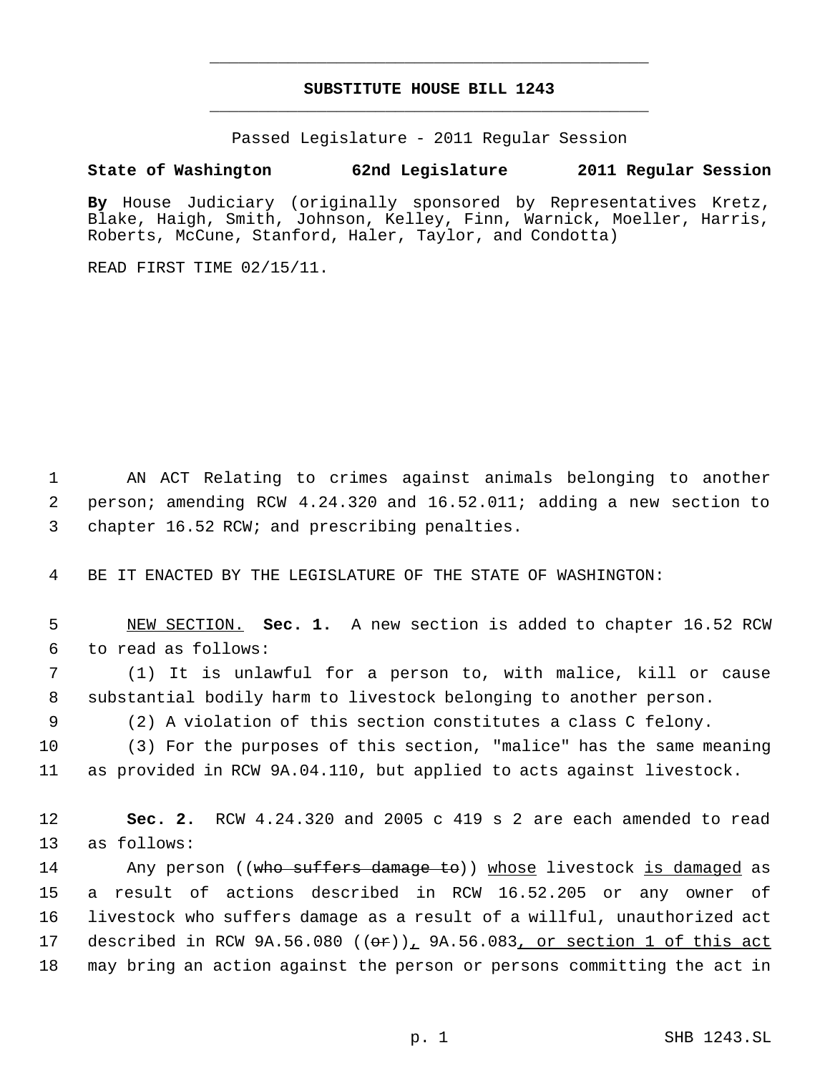# **SUBSTITUTE HOUSE BILL 1243** \_\_\_\_\_\_\_\_\_\_\_\_\_\_\_\_\_\_\_\_\_\_\_\_\_\_\_\_\_\_\_\_\_\_\_\_\_\_\_\_\_\_\_\_\_

\_\_\_\_\_\_\_\_\_\_\_\_\_\_\_\_\_\_\_\_\_\_\_\_\_\_\_\_\_\_\_\_\_\_\_\_\_\_\_\_\_\_\_\_\_

Passed Legislature - 2011 Regular Session

# **State of Washington 62nd Legislature 2011 Regular Session**

**By** House Judiciary (originally sponsored by Representatives Kretz, Blake, Haigh, Smith, Johnson, Kelley, Finn, Warnick, Moeller, Harris, Roberts, McCune, Stanford, Haler, Taylor, and Condotta)

READ FIRST TIME 02/15/11.

 AN ACT Relating to crimes against animals belonging to another person; amending RCW 4.24.320 and 16.52.011; adding a new section to chapter 16.52 RCW; and prescribing penalties.

BE IT ENACTED BY THE LEGISLATURE OF THE STATE OF WASHINGTON:

 NEW SECTION. **Sec. 1.** A new section is added to chapter 16.52 RCW to read as follows:

 (1) It is unlawful for a person to, with malice, kill or cause substantial bodily harm to livestock belonging to another person.

(2) A violation of this section constitutes a class C felony.

 (3) For the purposes of this section, "malice" has the same meaning as provided in RCW 9A.04.110, but applied to acts against livestock.

 **Sec. 2.** RCW 4.24.320 and 2005 c 419 s 2 are each amended to read as follows:

 Any person ((who suffers damage to)) whose livestock is damaged as a result of actions described in RCW 16.52.205 or any owner of livestock who suffers damage as a result of a willful, unauthorized act 17 described in RCW  $9A.56.080$  ( $(\theta \hat{r})_L$   $9A.56.083$ , or section 1 of this act may bring an action against the person or persons committing the act in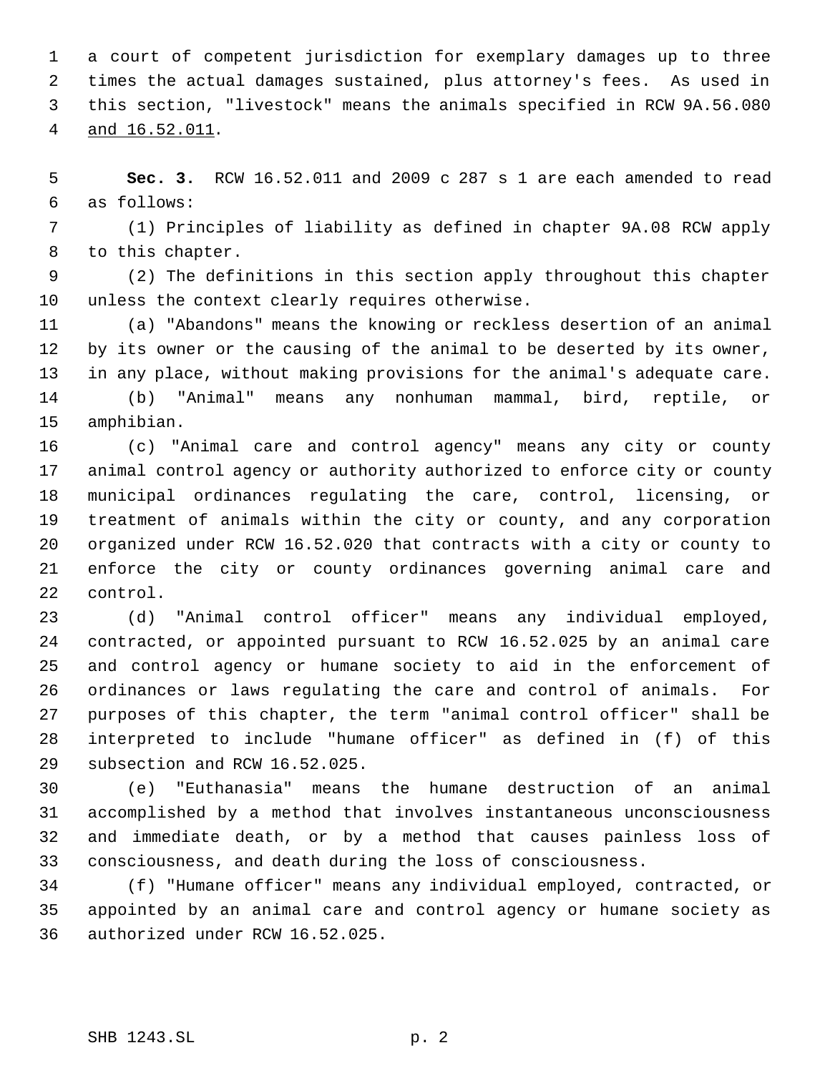a court of competent jurisdiction for exemplary damages up to three times the actual damages sustained, plus attorney's fees. As used in this section, "livestock" means the animals specified in RCW 9A.56.080 and 16.52.011.

 **Sec. 3.** RCW 16.52.011 and 2009 c 287 s 1 are each amended to read as follows:

 (1) Principles of liability as defined in chapter 9A.08 RCW apply to this chapter.

 (2) The definitions in this section apply throughout this chapter unless the context clearly requires otherwise.

 (a) "Abandons" means the knowing or reckless desertion of an animal by its owner or the causing of the animal to be deserted by its owner, in any place, without making provisions for the animal's adequate care. (b) "Animal" means any nonhuman mammal, bird, reptile, or amphibian.

 (c) "Animal care and control agency" means any city or county animal control agency or authority authorized to enforce city or county municipal ordinances regulating the care, control, licensing, or treatment of animals within the city or county, and any corporation organized under RCW 16.52.020 that contracts with a city or county to enforce the city or county ordinances governing animal care and control.

 (d) "Animal control officer" means any individual employed, contracted, or appointed pursuant to RCW 16.52.025 by an animal care and control agency or humane society to aid in the enforcement of ordinances or laws regulating the care and control of animals. For purposes of this chapter, the term "animal control officer" shall be interpreted to include "humane officer" as defined in (f) of this subsection and RCW 16.52.025.

 (e) "Euthanasia" means the humane destruction of an animal accomplished by a method that involves instantaneous unconsciousness and immediate death, or by a method that causes painless loss of consciousness, and death during the loss of consciousness.

 (f) "Humane officer" means any individual employed, contracted, or appointed by an animal care and control agency or humane society as authorized under RCW 16.52.025.